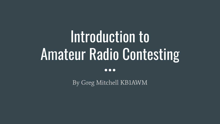# Introduction to Amateur Radio Contesting

 $\bullet\bullet\bullet$ 

By Greg Mitchell KB1AWM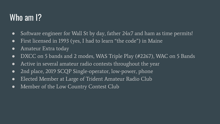### Who am 1?

- Software engineer for Wall St by day, father 24x7 and ham as time permits!
- First licensed in 1993 (yes, I had to learn "the code") in Maine
- Amateur Extra today
- DXCC on 5 bands and 2 modes, WAS Triple Play (#2267), WAC on 5 Bands
- Active in several amateur radio contests throughout the year
- 2nd place, 2019 SCQP Single-operator, low-power, phone
- Elected Member at Large of Trident Amateur Radio Club
- Member of the Low Country Contest Club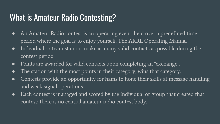### What is Amateur Radio Contesting?

- An Amateur Radio contest is an operating event, held over a predefined time period where the goal is to enjoy yourself. The ARRL Operating Manual
- Individual or team stations make as many valid contacts as possible during the contest period.
- Points are awarded for valid contacts upon completing an "exchange".
- The station with the most points in their category, wins that category.
- Contests provide an opportunity for hams to hone their skills at message handling and weak signal operations.
- Each contest is managed and scored by the individual or group that created that contest; there is no central amateur radio contest body.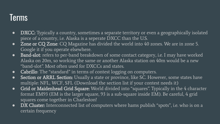### Terms

- **●** DXCC: Typically a country, sometimes a separate territory or even a geographically isolated piece of a country, i.e. Alaska is a seperate DXCC than the U.S.
- **Zone or CQ Zone:** CQ Magazine has divided the world into 40 zones. We are in zone 5. Google it if you operate elsewhere.
- **Band-slot**: refers to per-band breakdown of some contact category, i.e. I may have worked Alaska on 20m, so working the same or another Alaska station on 40m would be a new "band-slot". Most often used for DXCCs and states.
- **●** Cabrillo: The "standard" in terms of contest logging on computers.
- **●** Section or ARRL Section: Usually a state or province, like SC. However, some states have multiple: NFL, WCF, SFL (Download the section list if your contest needs it)
- **Grid or Maidenhead Grid Square:** World divided into "squares". Typically in the 4 character format EM93 (EM is the larger square, 93 is a sub-square inside EM). Be careful, 4 grid squares come together in Charleston!
- **●** DX Cluster: Interconnected list of computers where hams publish "spots", i.e. who is on a certain frequency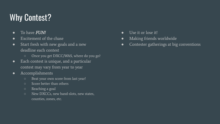### Why Contest?

- To have **FUN!**
- Excitement of the chase
- Start fresh with new goals and a new deadline each contest
	- Once you get DXCC/WAS, where do you go?
- Each contest is unique, and a particular contest may vary from year to year
- Accomplishments
	- Beat your own score from last year!
	- Score better than others
	- Reaching a goal
	- New DXCCs, new band-slots, new states, counties, zones, etc.
- Use it or lose it!
- Making friends worldwide
- Contester gatherings at big conventions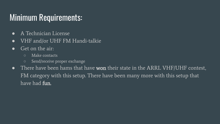### Minimum Requirements:

- A Technician License
- VHF and/or UHF FM Handi-talkie
- Get on the air:
	- Make contacts
	- Send/receive proper exchange
- There have been hams that have **won** their state in the ARRL VHF/UHF contest, FM category with this setup. There have been many more with this setup that have had **fun**.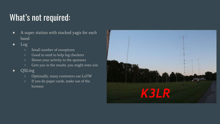# What's not required:

- A super station with stacked yagis for each band
- Log
	- Small number of exceptions
	- Good to send to help log checkers
	- Shows your activity to the sponsors
	- Gets you in the results, you might even win
- QSLing
	- Optionally, many contesters use LoTW
	- If you do paper cards, make use of the bureaus

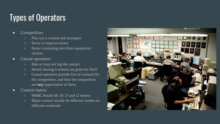# Types of Operators

### ● Competitors

- Plan out a contest and strategize
- Strive to improve scores
- Factor contesting into their equipment choices
- Casual operators
	- May or may not log the contact
	- Award chasing (contests are great for this!)
	- Casual operators provide lots of contacts for the competitors, and thus the competitors are very appreciative of them.
- Contest haters
	- WARC Bands! 60, 30, 17 and 12 meters
	- Major contest usually do different modes on different weekends

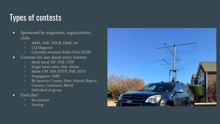### Types of contests

- Sponsored by magazines, organizations, clubs
	- ARRL, RAC, RSGB, DARC etc
	- CQ Magazine
	- Columbia Amateur Radio Club: SCQP
- Contests for just about every interest
	- Multi-band: HF, VHF, UHF
	- Single band: 160m, 10m, 10Ghz
	- Mode: CW, SSB, RTTY, PSK, SSTV
	- Propagation: EME
	- By location: County, State, Islands, Region, Country, Continent, World
	- Individual or group
- Field day?
	- No winners
	- Scoring

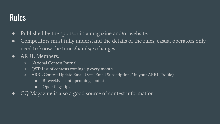### Rules

- Published by the sponsor in a magazine and/or website.
- Competitors must fully understand the details of the rules, casual operators only need to know the times/bands/exchanges.
- ARRL Members:
	- National Contest Journal
	- QST: List of contests coming up every month
	- ARRL Contest Update Email (See "Email Subscriptions" in your ARRL Profile)
		- Bi-weekly list of upcoming contests
		- Operatings tips
- CQ Magazine is also a good source of contest information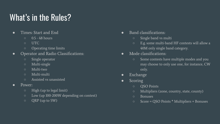### What's in the Rules?

- Times: Start and End
	- $\circ$  0.5 48 hours
	- UTC
	- Operating time limits
- Operator and Radio Classifications:
	- Single operator
	- Multi-single
	- Multi-two
	- Multi-multi
	- Assisted vs unassisted
- Power:
	- High (up to legal limit)
	- Low (up 100-200W depending on contest)
	- QRP (up to 5W)
- Band classifications:
	- Single band vs multi
	- E.g. some multi-band HF contests will allow a 40M only single band category.
- Mode classifications:
	- Some contests have multiple modes and you may choose to only use one, for instance, CW only.
- Exchange
- Scoring
	- QSO Points
	- Multipliers (zone, country, state, county)
	- Bonuses
	- Score = QSO Points \* Multipliers + Bonuses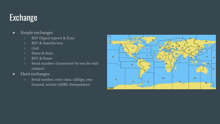### **Exchange**

- Simple exchanges:
	- RST (Signal report) & Zone
	- RST & State/Section
	- Grid
	- Name & State
	- RST & Power
	- Serial numbers (increments by one for each contact)
- Hard exchanges:
	- Serial number, entry class, callsign, year licensed, section (ARRL Sweepstakes)

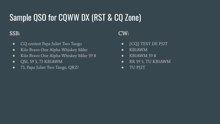# Sample QSO for CQWW DX (RST & CQ Zone)

### SSB:

- CQ contest Papa Juliet Two Tango
- Kilo Bravo One Alpha Whiskey Mike
- Kilo Bravo One Alpha Whiskey Mike 59 8
- QSL 59 5, 73 KB1AWM
- 73, Papa Juliet Two Tango, QRZ?

### CW:

- [CQ] TEST DE PJ2T
- KB1AWM
- KB1AWM 59 8
- RR 59 5, TU KB1AWM
- TU PJ2T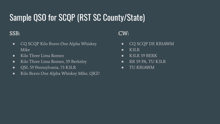# Sample QSO for SCQP (RST SC County/State)

### SSB:

- CQ SCQP Kilo Bravo One Alpha Whiskey Mike
- Kilo Three Lima Romeo
- Kilo Three Lima Romeo, 59 Berkeley
- QSL 59 Pennsylvania, 73 K3LR
- Kilo Bravo One Alpha Whiskey Mike, QRZ?

### CW:

- CQ SCQP DE KB1AWM
- K3LR
- K3LR 59 BERK
- RR 59 PA, TU K3LR
- TU KB1AWM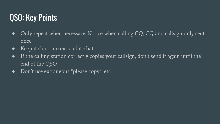### QSO: Key Points

- Only repeat when necessary. Notice when calling CQ, CQ and callsign only sent once.
- Keep it short, no extra chit-chat
- If the calling station correctly copies your callsign, don't send it again until the end of the QSO
- Don't use extraneous "please copy", etc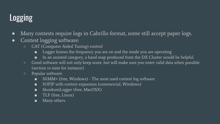## Logging

- Many contests require logs in Cabrillo format, some still accept paper logs.
- Contest logging software:
	- CAT (Computer Aided Tuning) control
		- Logger knows the frequency you are on and the mode you are operating
		- In an assisted category, a band map produced from the DX Cluster would be helpful.
	- Good software will not only keep score, but will make sure you enter valid data when possible (section vs state for instance)
	- Popular software:
		- N1MM+ (free, Windows) The most used contest log software
		- N3FJP with contest expansion (commercial, Windows)
		- SkookumLogger (free, MacOSX)
		- TLF (free, Linux)
		- Many others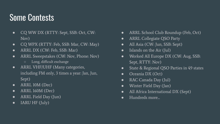### Some Contests

- CQ WW DX (RTTY: Sept, SSB: Oct, CW: Nov)
- CQ WPX (RTTY: Feb, SSB: Mar, CW: May)
- ARRL DX (CW: Feb, SSB: Mar)
- ARRL Sweepstakes (CW: Nov, Phone: Nov)
	- Long, difficult exchange
- ARRL VHF/UHF (Many categories, including FM only, 3 times a year: Jan, Jun, Sept)
- ARRL 10M (Dec)
- $\bullet$  ARRL 160M (Dec)
- ARRL Field Day (Jun)
- IARU HF (July)
- ARRL School Club Roundup (Feb, Oct)
- ARRL Collegiate QSO Party
- All Asia (CW: Jun, SSB: Sept)
- Islands on the Air (Jul)
- Worked All Europe DX (CW: Aug, SSB: Sept, RTTY: Nov)
- State & Regional QSO Parties in 49 states
- Oceania DX (Oct)
- RAC Canada Day (Jul)
- Winter Field Day (Jan)
- All Africa International DX (Sept)
- Hundreds more...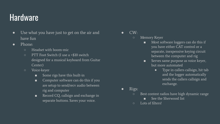### **Hardware**

- Use what you have just to get on the air and have fun
- Phone:
	- Headset with boom-mic
	- PTT Foot Switch (I use a <\$10 switch designed for a musical keyboard from Guitar Center)
	- Voice-keyer
		- Some rigs have this built-in
		- Computer software can do this if you are setup to send/recv audio between rig and computer
		- Record CQ, callsign and exchange in separate buttons. Saves your voice.

 $CW$ 

- Memory Keyer
	- Most software loggers can do this if you have either CAT control or a separate, inexpensive keying circuit between the computer and rig
	- Serves same purpose as voice keyer, but more automated
		- Type in callers callsign, hit tab and the logger automatically sends the callers callsign and exchange.

- Rigs:
	- Best contest radios have high dynamic range
		- See the Sherwood list
	- Lots of filters!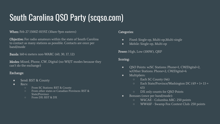# South Carolina QSO Party (scqso.com)

#### When: Feb 27 1500Z-0159Z (10am-9pm eastern)

Objective: For radio amateurs within the state of South Carolina to contact as many stations as possible. Contacts are once per band/mode

Bands: 160-6 meters non-WARC (60, 30, 17, 12)

Modes: Mixed, Phone, CW, Digital (no WSJT modes because they can't do the exchange)

#### Exchange:

- Send: RST & County
- Recv:
	- From SC Stations: RST & County
	- From other states or Canadian Provinces: RST & State/Province
	- From DX: RST & DX

#### Categories:

- Fixed: Single-op, Multi-op,Multi-single
- Mobile: Single-op, Multi-op

Power: High, Low (100W), QRP

#### Scoring:

- QSO Points: w/SC Stations: Phone=1, CW/Digital=2, w/Other Stations: Phone=2, CW/Digital=4
- Multipliers:
	- Each SC County (46)
	- Each State/Province/Washington DC (49 + 1+ 13 = 63)
	- DX only counts for QSO Points
- Bonuses (once per band/mode):
	- W4CAE Columbia ARC: 250 points
	- WW4SF Swamp Fox Contest Club: 250 points